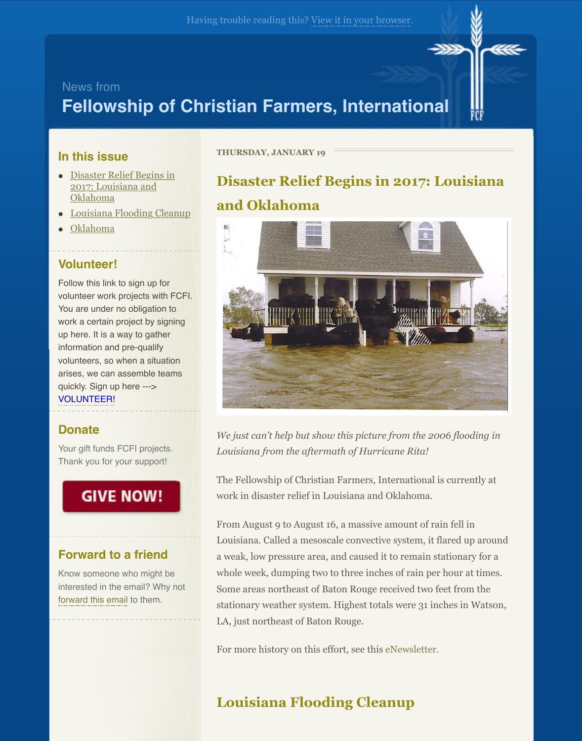## **Fellowship of Christian Farm[ers, Internati](http://mailinglist.fcfi.org/t/r-e-ykdykyty-shrkytyhd-r/)onal**



### **In this issue**

- Disaster Relief Begins in 2017: Louisiana and Oklahoma
- Louisiana Flooding Cleanup
- Oklahoma

## **Volunteer!**

Follow this link to sign up for vol[unteer work projects with F](http://mailinglist.fcfi.org/t/ViewEmail/r/2163431C909A3CD12540EF23F30FEDED/330C0F09572BB8E11A01488700E2614F#toc_item_0)CFI. Yo[u are under no obligation to](http://mailinglist.fcfi.org/t/ViewEmail/r/2163431C909A3CD12540EF23F30FEDED/330C0F09572BB8E11A01488700E2614F#toc_item_1) work a certain project by signing up [here. It is a](http://mailinglist.fcfi.org/t/ViewEmail/r/2163431C909A3CD12540EF23F30FEDED/330C0F09572BB8E11A01488700E2614F#toc_item_2) way to gather information and pre-qualify volunteers, so when a situation arises, we can assemble teams quickly. Sign up here ---> VOLUNTEER!

## **Donate**

Your gift funds FCFI projects. Thank you for your support!

# **GIVE NOW!**

### **Forward to a friend**

Know someone who might be [interested in the email? Why not](http://mailinglist.fcfi.org/t/r-l-ykdykyty-shrkytyhd-i/) forward this email to them.

#### **THURSDAY, JANUARY 19**

# **Disaster Relief Begins in 2017: Louisian and Oklahoma**



*We just can't help but show this picture from the 2006 flooding i Louisiana from the aftermath of Hurricane Rita!*

The Fellowship of Christian Farmers, International is currently at work in disaster relief in Louisiana and Oklahoma.

From August 9 to August 16, a massive amount of rain fell in Louisiana. Called a mesoscale convective system, it flared up around that the system of the set of the set of the set of the set of the set of the set of the set of the set of the set of the set of the set of the set of th a weak, low pressure area, and caused it to remain stationary for a whole week, dumping two to three inches of rain per hour at time. Some areas northeast of Baton Rouge received two feet from the stationary weather system. Highest totals were 31 inches in Watson, LA, just northeast of Baton Rouge.

For more history on this effort, see this eNewsletter.

# **Louisiana Flooding Cleanup**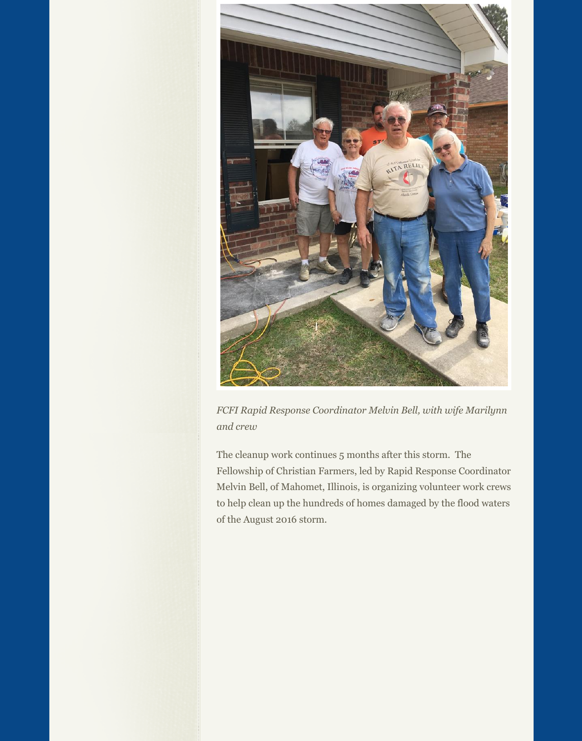

*FCFI Rapid Response Coordinator Melvin Bell, with wife Marilynn and crew*

The cleanup work continues 5 months after this storm. The Fellowship of Christian Farmers, led by Rapid Response Coordinator Melvin Bell, of Mahomet, Illinois, is organizing volunteer work crews to help clean up the hundreds of homes damaged by the flood waters of the August 2016 storm.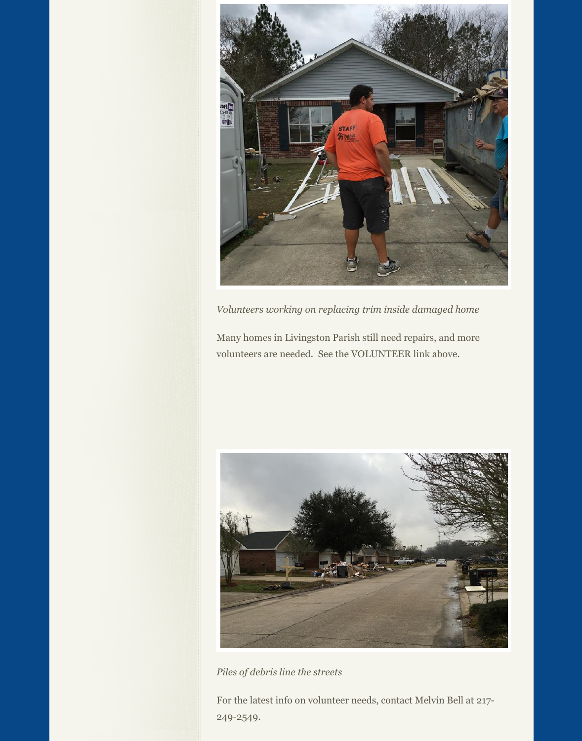

*Volunteers working on replacing trim inside damaged home*

Many homes in Livingston Parish still need repairs, and more volunteers are needed. See the VOLUNTEER link above.



*Piles of debris line the streets*

For the latest info on volunteer needs, contact Melvin Bell at 217- 249-2549.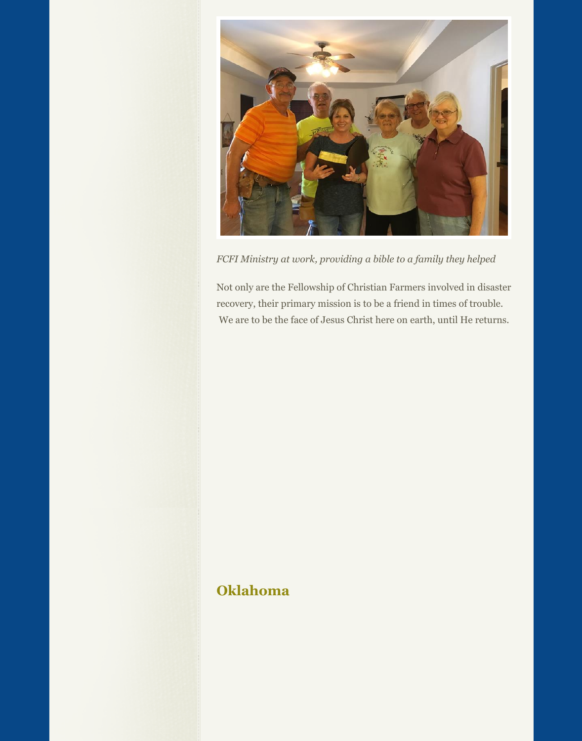

*FCFI Ministry at work, providing a bible to a family they helped*

Not only are the Fellowship of Christian Farmers involved in disaster recovery, their primary mission is to be a friend in times of trouble. We are to be the face of Jesus Christ here on earth, until He returns.

## **Oklahoma**